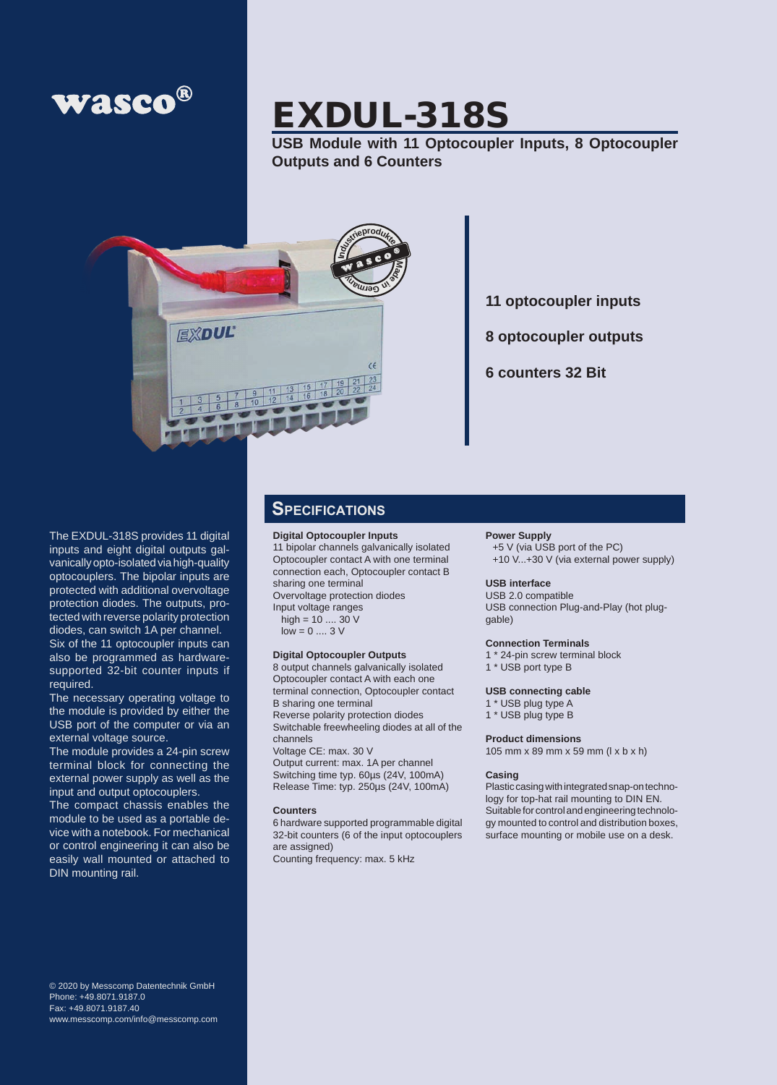

# EXDUL-318S

**USB Module with 11 Optocoupler Inputs, 8 Optocoupler Outputs and 6 Counters**



**11 optocoupler inputs**

**8 optocoupler outputs**

**6 counters 32 Bit**

The EXDUL-318S provides 11 digital inputs and eight digital outputs galvanically opto-isolated via high-quality optocouplers. The bipolar inputs are protected with additional overvoltage protection diodes. The outputs, protected with reverse polarity protection diodes, can switch 1A per channel. Six of the 11 optocoupler inputs can also be programmed as hardwaresupported 32-bit counter inputs if required.

The necessary operating voltage to the module is provided by either the USB port of the computer or via an external voltage source.

The module provides a 24-pin screw terminal block for connecting the external power supply as well as the input and output optocouplers.

The compact chassis enables the module to be used as a portable device with a notebook. For mechanical or control engineering it can also be easily wall mounted or attached to DIN mounting rail.

© 2020 by Messcomp Datentechnik GmbH Phone: +49.8071.9187.0 Fax: +49.8071.9187.40 www.messcomp.com/info@messcomp.com

### **Specifications**

### **Digital Optocoupler Inputs**

11 bipolar channels galvanically isolated Optocoupler contact A with one terminal connection each, Optocoupler contact B sharing one terminal Overvoltage protection diodes Input voltage ranges high = 10 .... 30 V

 $low = 0 \dots 3 V$ 

**Digital Optocoupler Outputs** 8 output channels galvanically isolated Optocoupler contact A with each one terminal connection, Optocoupler contact B sharing one terminal Reverse polarity protection diodes Switchable freewheeling diodes at all of the channels Voltage CE: max. 30 V Output current: max. 1A per channel Switching time typ. 60µs (24V, 100mA) Release Time: typ. 250µs (24V, 100mA)

#### **Counters**

6 hardware supported programmable digital 32-bit counters (6 of the input optocouplers are assigned) Counting frequency: max. 5 kHz

#### **Power Supply**

+5 V (via USB port of the PC) +10 V...+30 V (via external power supply)

### **USB interface**

USB 2.0 compatible USB connection Plug-and-Play (hot pluggable)

#### **Connection Terminals**

- 1 \* 24-pin screw terminal block
- 1 \* USB port type B

#### **USB connecting cable**

- 1 \* USB plug type A
- 1 \* USB plug type B

#### **Product dimensions**

105 mm x 89 mm x 59 mm (l x b x h)

#### **Casing**

Plastic casing with integrated snap-on technology for top-hat rail mounting to DIN EN. Suitable for control and engineering technology mounted to control and distribution boxes, surface mounting or mobile use on a desk.